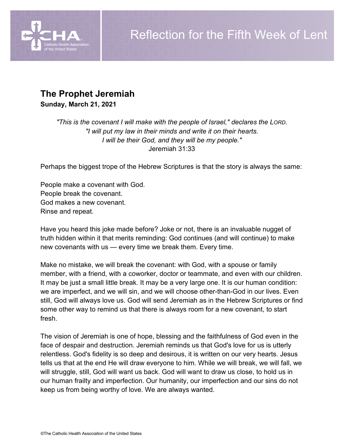

# **The Prophet Jeremiah**

**Sunday, March 21, 2021**

*"This is the covenant I will make with the people of Israel," declares the LORD. "I will put my law in their minds and write it on their hearts. I will be their God, and they will be my people."* Jeremiah 31:33

Perhaps the biggest trope of the Hebrew Scriptures is that the story is always the same:

People make a covenant with God. People break the covenant. God makes a new covenant. Rinse and repeat.

Have you heard this joke made before? Joke or not, there is an invaluable nugget of truth hidden within it that merits reminding: God continues (and will continue) to make new covenants with us — every time we break them. Every time.

Make no mistake, we will break the covenant: with God, with a spouse or family member, with a friend, with a coworker, doctor or teammate, and even with our children. It may be just a small little break. It may be a very large one. It is our human condition: we are imperfect, and we will sin, and we will choose other-than-God in our lives. Even still, God will always love us. God will send Jeremiah as in the Hebrew Scriptures or find some other way to remind us that there is always room for a new covenant, to start fresh.

The vision of Jeremiah is one of hope, blessing and the faithfulness of God even in the face of despair and destruction. Jeremiah reminds us that God's love for us is utterly relentless. God's fidelity is so deep and desirous, it is written on our very hearts. Jesus tells us that at the end He will draw everyone to him. While we will break, we will fall, we will struggle, still, God will want us back. God will want to draw us close, to hold us in our human frailty and imperfection. Our humanity, our imperfection and our sins do not keep us from being worthy of love. We are always wanted.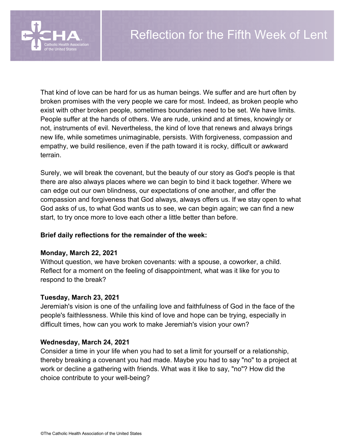

That kind of love can be hard for us as human beings. We suffer and are hurt often by broken promises with the very people we care for most. Indeed, as broken people who exist with other broken people, sometimes boundaries need to be set. We have limits. People suffer at the hands of others. We are rude, unkind and at times, knowingly or not, instruments of evil. Nevertheless, the kind of love that renews and always brings new life, while sometimes unimaginable, persists. With forgiveness, compassion and empathy, we build resilience, even if the path toward it is rocky, difficult or awkward terrain.

Surely, we will break the covenant, but the beauty of our story as God's people is that there are also always places where we can begin to bind it back together. Where we can edge out our own blindness, our expectations of one another, and offer the compassion and forgiveness that God always, always offers us. If we stay open to what God asks of us, to what God wants us to see, we can begin again; we can find a new start, to try once more to love each other a little better than before.

### **Brief daily reflections for the remainder of the week:**

### **Monday, March 22, 2021**

Without question, we have broken covenants: with a spouse, a coworker, a child. Reflect for a moment on the feeling of disappointment, what was it like for you to respond to the break?

### **Tuesday, March 23, 2021**

Jeremiah's vision is one of the unfailing love and faithfulness of God in the face of the people's faithlessness. While this kind of love and hope can be trying, especially in difficult times, how can you work to make Jeremiah's vision your own?

### **Wednesday, March 24, 2021**

Consider a time in your life when you had to set a limit for yourself or a relationship, thereby breaking a covenant you had made. Maybe you had to say "no" to a project at work or decline a gathering with friends. What was it like to say, "no"? How did the choice contribute to your well-being?